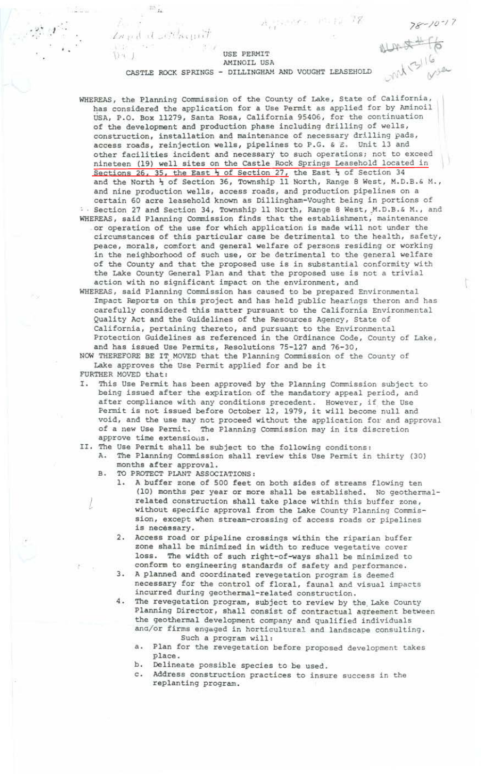$78 - 10 - 17$ almet for

## USE PERMIT AMINOIL USA

 $A_{\mu\nu}$  (sector ) (2)  $12$ 

CASTLE ROCK SPRINGS - DILLINGHAM AND VOUGHT LEASEHOLD

 $\mathcal{F}$  . *Invitation* 

 $1.4$ 

 $\mathbb{Z}_{n}$ 

WHEREAS, the Planning Commission of the County of Lake, State of California, has considered the application for a Use Permit as applied for by Aminoil USA, P.O. Box 11279, Santa Rosa, California 95406, for the continuation of the development and production phase including drilling of wells, construction, installation and maintenance of necessary drilling pads, access roads, reinjection wells, pipelines to P.G. & *2*. Unit 13 and other facilities incident and necessary to such operations; not to exceed nineteen (19) well sites on the Castle Rock Springs Leasehold located in Sections 26, 35, the East  $\frac{1}{2}$  of Section 27, the East  $\frac{1}{2}$  of Section 34 and the North  $\frac{1}{2}$  of Section 36, Township 11 North, Range B West, M.D.B.& M., and nine production wells, access roads, and production pipelines on a certain 60 acre leasehold known as Dillingham-Vought being in portions of : Section 27 and Section 34, Township 11 North, Range 8 West, M.D.B.& M., and WHEREAS, said Planning Commission finds that the establishment; maintenance . or operation of the use for which application is made will not under the circumstances of this particular case be detrimental to the health, safety, peace, morals, comfort and general welfare of persons residing or working in the neighborhood of such use, or be detrimental to the general welfare of the County and that the proposed use is in substantial conformity with the Lake County General Plan and that the proposed use is not a trivial action with no significant impact on the environment, and

WHEREAS, said Planning Commission has caused to be prepared Environmental Impact Reports on this project and has held public hearings theron and has carefully considered this matter pursuant to the California Environmental Quality Act and the Guidelines of the Resources Agency, State of California, pertaining thereto, and pursuant to the Environmental Protection Guidelines as referenced in the Ordinance Code, County of Lake, and has issued Use Permits, Resolutions 75-127 and 76-30,

NOW THEREFORE BE IT MOVED that the Planning Commission of the County of Lake approves the Use Permit applied for and be it FURTHER MOVED that:

- I. This Use Permit has been approved by the Planning Commission subject to being issued after the expiration of the mandatory appeal period, and after compliance with any conditions precedent. However, if the Use Permit is not issued before October 12, 1979, it will become null and void, and the use may not proceed without the application for and approval of a new Use Permit. The Planning Commission may in its discretion approve time extensions.
- II. The Use Permit shall be subject to the following conditons: A. The Planning Commission shall review this Use Permit in thirty (30) months after approval .
	- B. TO PROTECT PLANT ASSOCIATIONS:
		- 1. A buffer zone of 500 feet on both sides of streams flowing ten (10) months per year or more shall be established. No geothermal related construction shall take place within this buffer zone, without specific approval from the Lake County Planning Commission, except when stream-crossing of access roads or pipelines is necessary.
		- 2. Access road or pipeline crossings within the riparian buffer zone shall be minimized in width to reduce vegetative cover loss. The width of such right-of-ways shall be minimized to conform to engineering standards of safety and performance.
		- 3. A planned and coordinated revegetation program is deemed necessary for the control of floral, faunal and visual impacts incurred during geothermal-related construction.
		- 4. The revegetation program, subject to review by the Lake County Planning Director, shall consist of contractual agreement between the geothermal development company and qualified individuals and/or firms engaged in horticultural and landscape consulting. Such a program will:
			- a. Plan for the revegetation before proposed development takes place.
			- b. Delineate possible species to be used.
			- c. Address construction practices to insure success in the replanting program.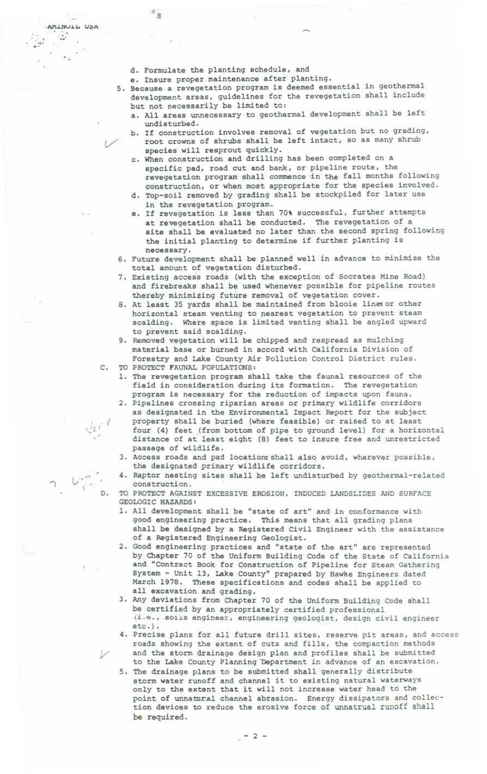d. Formulate the planting schedule, and

音安

 $\mathbf{e}^{\mathbf{e}}$ 

 $\sim$ 

 $\mathbb{L}$ 

AMINUIL USA

e. Insure proper maintenance after planting.

s. Because a revegetation program is deemed essential in geothermal development areas, guidelines for the revegetation shall include but not necessarily be limited to:

- a. All areas unnecessary to geothermal development shall be left undisturbed.
- b. If construction involves removal of vegetation but no grading, root crowns of shrubs shall be left intact, so as many shrub species will resprout quickly.
- c. When construction and drilling has been completed on a specific pad, road cut and bank, or pipeline route, the revegetation program shall commence in the fall months following construction, or when most appropriate for the species involved.
- d. Top-soil removed by grading shall be stockpiled for later use in the revegetation program.
- e. If revegetation is less than 70% successful, further attempts at revegetation shall be conducted. The revegetation of a site shall be evaluated no later than the second spring following the initial planting to determine if further planting is necessary.
- 6. Future development shall be planned well in advance to minimize the total amount of vegetation disturbed. ·
- 7. Existing access roads (with the exception of Socrates Mine Road) and firebreaks shall be used whenever possible for pipeline routes thereby minimizing future removal of vegetation cover.
- 8 . At least 35 yards shall be maintained from blooie linesor other horizontal steam venting to nearest vegetation to prevent steam scalding. Where space is limited venting shall be angled upward to prevent said scalding.
- 9. Removed vegetation will be chipped and respread as mulching material base or burned in accord with California Division of Forestry and Lake County Air Pollution Control District rules.
- c. TO PROTECT FAUNAL POPULATIONS:

 $, 1$  $\sqrt{\varepsilon}$  ,

*r*  t,.·· '", ..

<sup>I</sup>D.

- 1. The revegetation program shall take the faunal resources of the field in consideration during its formation. The revegetation program is necessary for the reduction of impacts upon fauna.
- 2. Pipelines crossing riparian areas or primary wildlife corridors as designated in the Environmental Impact Report for the subject property shall be buried (where feasible) or raised to at least four (4) feet (from bottom of pipe to ground level) for a horizontal distance of at least eight (8) feet to insure free and unrestricted passage of wildlife.
- 3. Access roads and pad locatiomshall also avoid, wherever possible, the designated primary wildlife corridors.
- 4. Raptor nesting sites shall be left undisturbed by geothermal-related construction.
- TO PROTECT AGAINST EXCESSIVE EROSION, INDUCED LANDSLIDES AND SURFACE GEOLOGIC HAZARDS:
- 1. All development shall be "state of art" and in conformance with good engineering practice. This means that all grading plans shall be designed by a Registered Civil Engineer with the assistance of a Registered Engineering Geologist.
- 2. Good engineering practices and "state of the art" are represented by Chapter 70 of the Uniform Building Code of the State of California and "Contract Book for Construction of Pipeline for Steam Gathering System - Unit 13, Lake County" prepared by Hawke Engineers dated March 1978. These specifications and codes shall be applied to all excavation and grading.
- 3. Any deviations from Chapter 70 of the Uniform Building Code shall be certified by an appropriately certified professional (i.e., so1is engineer, engineering geologist, design civil engineer
- 4. Precise plans for all future drill sites, reserve pit areas, and access roads showing the extent of cuts and fills, the compaction methods and the storm drainage design plan and profiles shall be submitted to the Lake County Planning 'Department in advance of an excavation.
- 5. The drainage plans to be submitted shall generally distribute storm water runoff and channel it to existing natural waterways only to the extent that it will not increase water head to the point of unnatural channel abrasion. Energy dissipators and collection devices to reduce the erosive force of unnatrual runoff shall be required.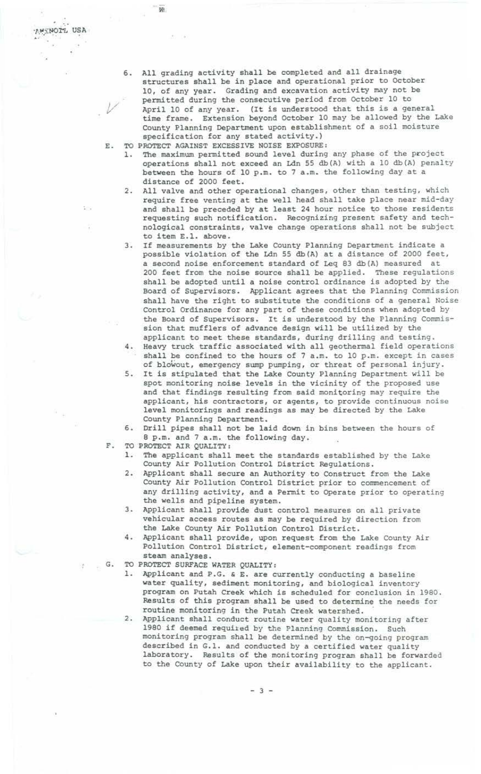- 6. All grading activity shall be completed and all drainage structures shall be in place and operational prior to October 10, of any year. Grading and excavation activity may not be permitted during the consecutive period from October 10 to April 10 of any year. (It is understood that this is a general time frame. Extension beyond October 10 may be allowed by the Lake County Planning Department upon establishment of a soil moisture specification for any stated activity . )
- E. TO PROTECT AGAINST EXCESSIVE NOISE EXPOSURE:

 $\overline{\mathbf{w}}$ 

AWSNOTL USA

 $\Sigma(\cdot)$ 

- 1. The maximum permitted sound level during any phase of the project operations shall not exceed an Ldn 55 db(A) with a 10 db(A) penalty between the hours of 10 p.m. to 7 a.m. the following day at a distance of 2000 feet.
- 2. All valve and other operational changes, other than testing, which require free venting at the well head shall take place near mid-day and shall be preceded by at least 24 hour notice to those residents requesting such notification. Recognizing present safety and technological constraints, valve change operations shall not be subject to item E.l. above.
- 3. If measurements by the Lake County Planning Department indicate a possible violation of the Ldn 55 db(A) at a distance of 2000 feet,<br>a second noise enforcement standard of Leg 83 db(A) measured at a second noise enforcement standard of Leq 83 db(A) measured 200 feet from the noise source shall be applied. These regulations shall be adopted until a noise control ordinance is adopted by the Board of Supervisors. Applicant agrees that the Planning Commission shall have the right to substitute the conditions of a general Noise Control Ordinance for any part of these conditions when adopted by the Board of Supervisors. It is understood by the Planning Commission that mufflers of advance design will be utilized by the applicant to meet these standards, during drilling and testing.
- 4. Heavy truck traffic associated with all geothermal field operations shall be confined to the hours of  $7$  a.m. to 10 p.m. except in cases of blowout, emergency sump pumping, or threat of personal injury.
- 5. It is stipulated that the Lake County Planning Department will be spot monitoring noise levels in the vicinity of the proposed use and that findings resulting from said monitoring may require the applicant, his contractors, or agents, to provide continuous noise level monitorings and readings as may be directed by the Lake County Planning Department.
- 6 . Drill pipes shall not be laid down in bins between the hours of 8 p.m. and 7 a.m. the following day.
- F. TO PROTECT AIR QUALITY:
	- 1. The applicant shall meet the standards established by the Lake County Air Pollution Control District Regulations.
	- 2. Applicant shall secure an Authority to Construct from the Lake County Air Pollution Control District prior to commencement of any drilling activity, and a Permit to Qperate prior to operating the wells and pipeline system.
	- 3. Applicant shall provide dust control measures on all private vehicular access routes as may be required by direction from the Lake County Air Pollution Control District.
	- 4. Applicant shall provide, upon request from the Lake County Air Pollution Control District, element-component readings from steam analyses.
- G. TO PROTECT SURFACE WATER QUALITY:
	- 1. Applicant and P.G. & E. are currently conducting a baseline water quality, sediment monitoring, and biological inventory program on Putah Creek which is scheduled for conclusion in 1980 . Results of this program shall be used to determine the needs for routine monitoring in the Putah Creek watershed.
	- 2. Applicant shall conduct routine water quality monitoring after 1980 if deemed required by the Planning Commission. Such monitoring program shall be determined by the on-going program described in G.l. and conducted by a certified water quality laboratory. Results of the monitoring program shall be forwarded to the County of Lake upon their availability to the applicant.

- 3 -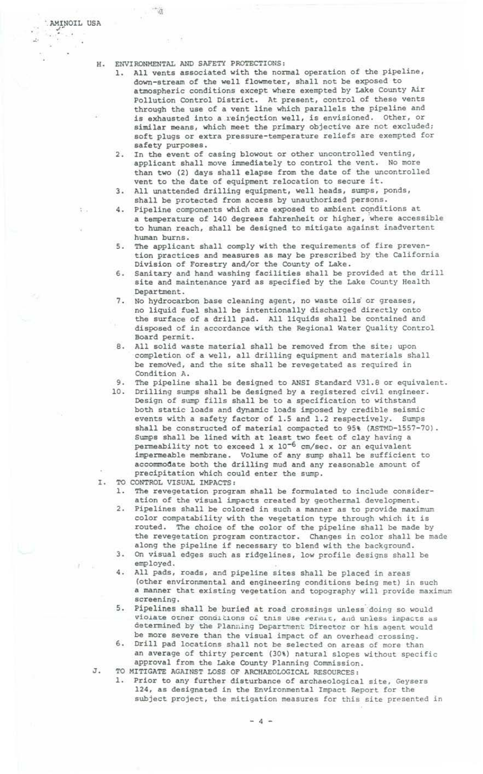t.

./'

J.

## H. ENVIRONMENTAL AND SAFETY PROTECTIONS:

 $\rightarrow$ 

- 1. All vents associated with the normal operation of the pipeline, down-stream of the well flowmeter, shall not be exposed to atmospheric conditions except where exempted by Lake County Air Pollution Control District. At present, control of these vents through the use of a vent line which parallels the pipeline and is exhausted into a reinjection well, is envisioned. Other, or similar means, which meet the primary objective are not excluded; soft plugs or extra pressure-temperature reliefs are exempted for safety purposes.
- 2. In the event of casing blowout or other uncontrolled venting, applicant shall move immediately to control the vent. No more than two (2) days shall elapse from the date of the uncontrolled vent to the date of equipment relocation to secure it.
- 3. All unattended drilling equipment, well heads, sumps, ponds, shall be protected from access by unauthorized persons.
- 4. Pipeline components which are exposed to ambient conditions at a temperature of 140 degrees fahrenheit or higher, where accessible to human reach, shall be designed to mitigate against inadvertent human burns.
- 5. The applicant shall comply with the requirements of fire prevention practices and measures as may be prescribed by the California Division of Forestry and/or the County of Lake.
- 6. Sanitary and hand washing facilities shall be provided at the drill site and maintenance yard as specified by the Lake County Health Department.
- 7. No hydrocarbon base cleaning agent, no waste oils or greases, no liquid fuel shall be intentionally discharged directly onto the surface of a drill pad. All liquids shall be contained and disposed of in accordance with the Regional Water Quality Control Board permit.
- 8. All solid waste material shall be removed from the site; upon completion of a well, all drilling equipment and materials shall be removed, and the site shall be revegetated as required in Condition A.
- 9. The pipeline shall be designed to ANSI Standard V3l.8 or equivalent. 10. Drilling sumps shall be designed by a registered civil engineer. Design of sump fills shall be to a specification to withstand
- both static loads and dynamic loads imposed by credible seismic events with a safety factor of 1.5 and 1.2 respectively. Sumps shall be constructed of material compacted to 95% (ASTMD-1557-70). Sumps shall be lined with at least two feet of clay having a permeability not to exceed l x lo-6 cm/sec. or an equivalent impermeable membrane. Volume of any sump shall be sufficient to accommodate both the drilling mud and any reasonable amount of precipitation which could enter the sump.
- I. TO CONTROL VISUAL IMPACTS:
	- 1. The revegetation program shall be formulated to include consideration of the visual impacts created by geothermal development.
	- 2. Pipelines shall be colored in such a manner as to provide maximum color compatability with the vegetation type through which it is routed. The choice of the color of the pipeline shall be made by the revegetation program contractor. Changes in color shall be made along the pipeline if necessary to blend with the background.
	- *3.* On visual edges such as ridgelines, low profile designs shall be employed.
	- 4. All pads, roads, and pipeline sites shall be placed in areas (other environmental and engineering conditions being met) in such a manner that existing vegetation and topography will provide maximum screening.
	- 5. Pipelines shall be buried at road crossings unless doing so would **violaLe 01:-ner conciJ.tl.ons o-i tnis use rerul.a.l:., d11d uniess i111pacLs as**  determined by the Planning Department Director or his agent would be more severe than the visual impact of an overhead crossing.
	- 6. Drill pad locations shall not be selected on areas of more than an average of thirty percent (30%) natural slopes without specific approval from the Lake County Planning Commission.
- J. TO MITIGATE AGAINST LOSS OF ARCHAEOLOGICAL RESOURCES:
	- 1. Prior to any further disturbance of archaeological site, Geysers 124, as designated in the Environmental Impact Report for the subject project, the mitigation measures for this site presented in